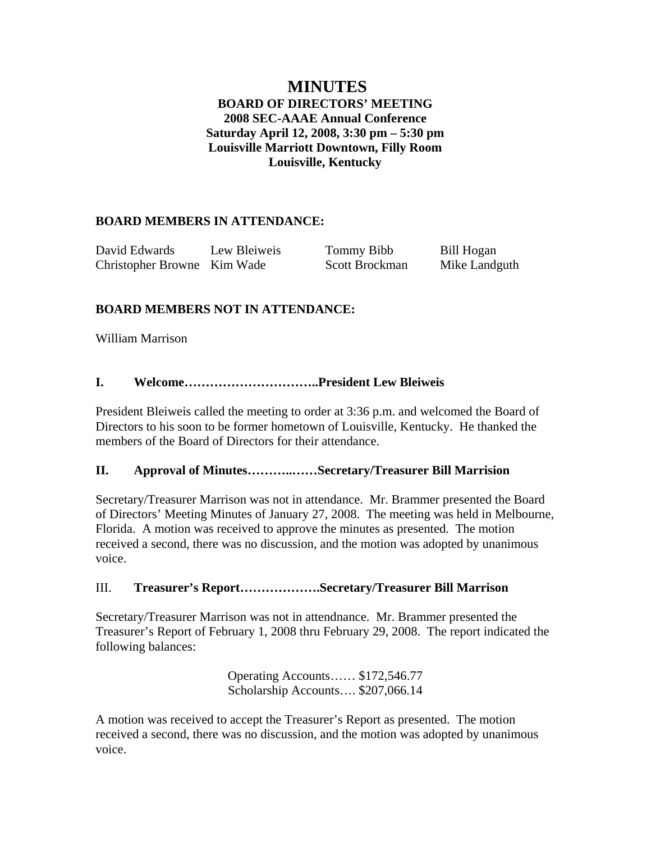# **MINUTES BOARD OF DIRECTORS' MEETING 2008 SEC-AAAE Annual Conference Saturday April 12, 2008, 3:30 pm – 5:30 pm Louisville Marriott Downtown, Filly Room Louisville, Kentucky**

# **BOARD MEMBERS IN ATTENDANCE:**

| David Edwards               | Lew Bleiweis | Tommy Bibb     | Bill Hogan    |
|-----------------------------|--------------|----------------|---------------|
| Christopher Browne Kim Wade |              | Scott Brockman | Mike Landguth |

# **BOARD MEMBERS NOT IN ATTENDANCE:**

William Marrison

## **I. Welcome…………………………..President Lew Bleiweis**

President Bleiweis called the meeting to order at 3:36 p.m. and welcomed the Board of Directors to his soon to be former hometown of Louisville, Kentucky. He thanked the members of the Board of Directors for their attendance.

### **II. Approval of Minutes………..……Secretary/Treasurer Bill Marrision**

Secretary/Treasurer Marrison was not in attendance. Mr. Brammer presented the Board of Directors' Meeting Minutes of January 27, 2008. The meeting was held in Melbourne, Florida. A motion was received to approve the minutes as presented. The motion received a second, there was no discussion, and the motion was adopted by unanimous voice.

## III. **Treasurer's Report……………….Secretary/Treasurer Bill Marrison**

Secretary/Treasurer Marrison was not in attendnance. Mr. Brammer presented the Treasurer's Report of February 1, 2008 thru February 29, 2008. The report indicated the following balances:

> Operating Accounts…… \$172,546.77 Scholarship Accounts…. \$207,066.14

A motion was received to accept the Treasurer's Report as presented. The motion received a second, there was no discussion, and the motion was adopted by unanimous voice.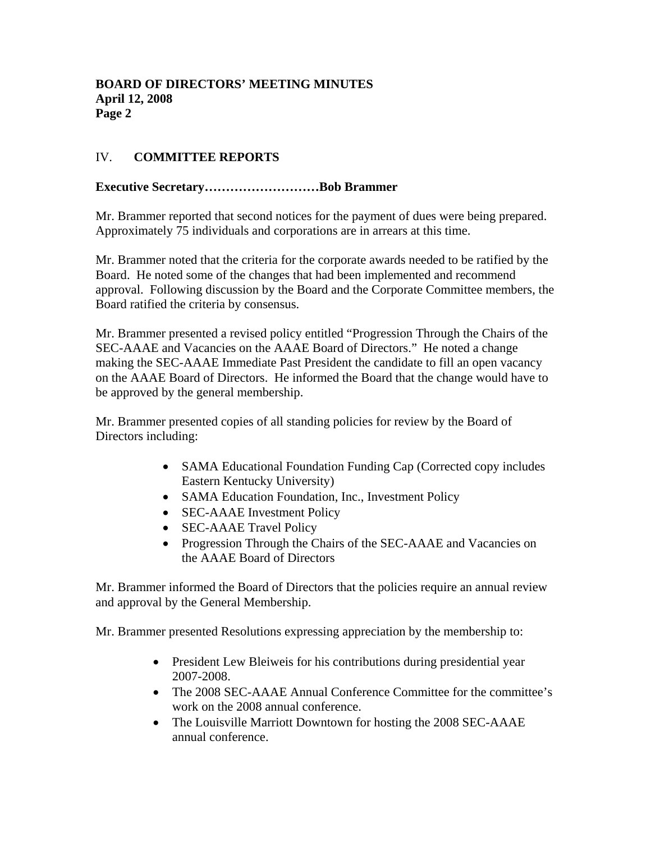# IV. **COMMITTEE REPORTS**

### **Executive Secretary………………………Bob Brammer**

Mr. Brammer reported that second notices for the payment of dues were being prepared. Approximately 75 individuals and corporations are in arrears at this time.

Mr. Brammer noted that the criteria for the corporate awards needed to be ratified by the Board. He noted some of the changes that had been implemented and recommend approval. Following discussion by the Board and the Corporate Committee members, the Board ratified the criteria by consensus.

Mr. Brammer presented a revised policy entitled "Progression Through the Chairs of the SEC-AAAE and Vacancies on the AAAE Board of Directors." He noted a change making the SEC-AAAE Immediate Past President the candidate to fill an open vacancy on the AAAE Board of Directors. He informed the Board that the change would have to be approved by the general membership.

Mr. Brammer presented copies of all standing policies for review by the Board of Directors including:

- SAMA Educational Foundation Funding Cap (Corrected copy includes Eastern Kentucky University)
- SAMA Education Foundation, Inc., Investment Policy
- **SEC-AAAE** Investment Policy
- **SEC-AAAE Travel Policy**
- Progression Through the Chairs of the SEC-AAAE and Vacancies on the AAAE Board of Directors

Mr. Brammer informed the Board of Directors that the policies require an annual review and approval by the General Membership.

Mr. Brammer presented Resolutions expressing appreciation by the membership to:

- President Lew Bleiweis for his contributions during presidential year 2007-2008.
- The 2008 SEC-AAAE Annual Conference Committee for the committee's work on the 2008 annual conference.
- The Louisville Marriott Downtown for hosting the 2008 SEC-AAAE annual conference.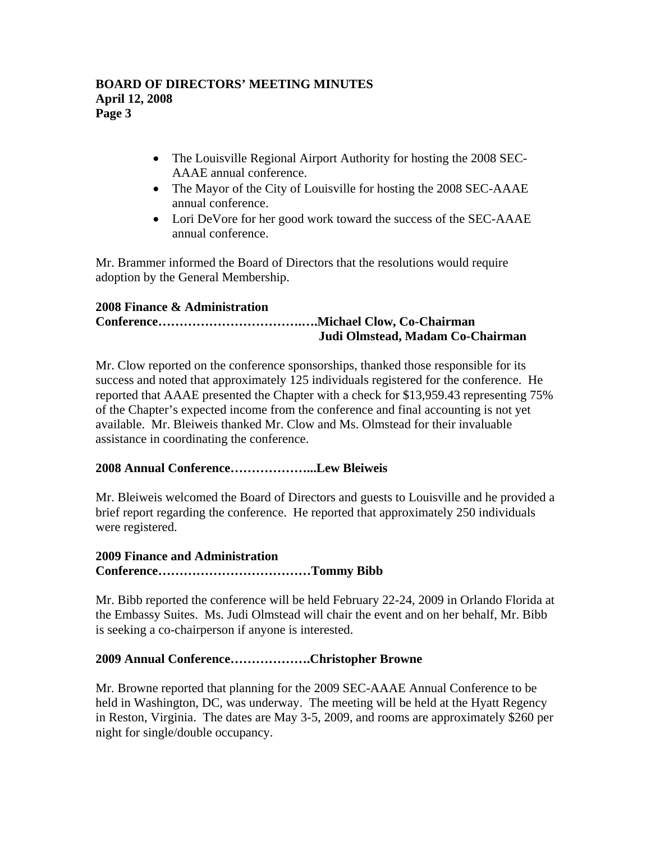- The Louisville Regional Airport Authority for hosting the 2008 SEC-AAAE annual conference.
- The Mayor of the City of Louisville for hosting the 2008 SEC-AAAE annual conference.
- Lori DeVore for her good work toward the success of the SEC-AAAE annual conference.

Mr. Brammer informed the Board of Directors that the resolutions would require adoption by the General Membership.

## **2008 Finance & Administration**

# **Conference…………………………….….Michael Clow, Co-Chairman Judi Olmstead, Madam Co-Chairman**

Mr. Clow reported on the conference sponsorships, thanked those responsible for its success and noted that approximately 125 individuals registered for the conference. He reported that AAAE presented the Chapter with a check for \$13,959.43 representing 75% of the Chapter's expected income from the conference and final accounting is not yet available. Mr. Bleiweis thanked Mr. Clow and Ms. Olmstead for their invaluable assistance in coordinating the conference.

## **2008 Annual Conference………………...Lew Bleiweis**

Mr. Bleiweis welcomed the Board of Directors and guests to Louisville and he provided a brief report regarding the conference. He reported that approximately 250 individuals were registered.

## **2009 Finance and Administration Conference………………………………Tommy Bibb**

Mr. Bibb reported the conference will be held February 22-24, 2009 in Orlando Florida at the Embassy Suites. Ms. Judi Olmstead will chair the event and on her behalf, Mr. Bibb is seeking a co-chairperson if anyone is interested.

## **2009 Annual Conference……………….Christopher Browne**

Mr. Browne reported that planning for the 2009 SEC-AAAE Annual Conference to be held in Washington, DC, was underway. The meeting will be held at the Hyatt Regency in Reston, Virginia. The dates are May 3-5, 2009, and rooms are approximately \$260 per night for single/double occupancy.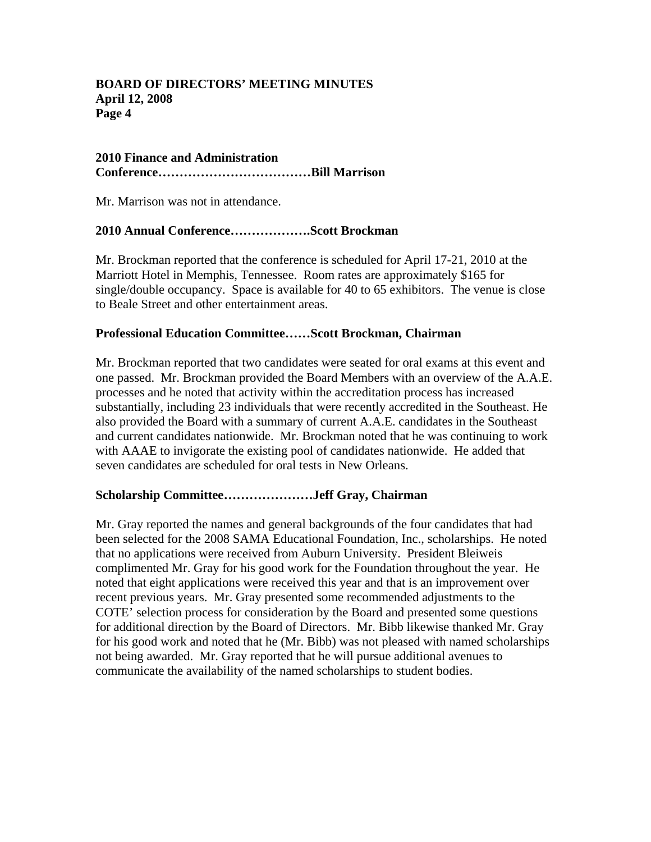### **BOARD OF DIRECTORS' MEETING MINUTES April 12, 2008 Page 4**

#### **2010 Finance and Administration Conference………………………………Bill Marrison**

Mr. Marrison was not in attendance.

### **2010 Annual Conference……………….Scott Brockman**

Mr. Brockman reported that the conference is scheduled for April 17-21, 2010 at the Marriott Hotel in Memphis, Tennessee. Room rates are approximately \$165 for single/double occupancy. Space is available for 40 to 65 exhibitors. The venue is close to Beale Street and other entertainment areas.

#### **Professional Education Committee……Scott Brockman, Chairman**

Mr. Brockman reported that two candidates were seated for oral exams at this event and one passed. Mr. Brockman provided the Board Members with an overview of the A.A.E. processes and he noted that activity within the accreditation process has increased substantially, including 23 individuals that were recently accredited in the Southeast. He also provided the Board with a summary of current A.A.E. candidates in the Southeast and current candidates nationwide. Mr. Brockman noted that he was continuing to work with AAAE to invigorate the existing pool of candidates nationwide. He added that seven candidates are scheduled for oral tests in New Orleans.

#### **Scholarship Committee…………………Jeff Gray, Chairman**

Mr. Gray reported the names and general backgrounds of the four candidates that had been selected for the 2008 SAMA Educational Foundation, Inc., scholarships. He noted that no applications were received from Auburn University. President Bleiweis complimented Mr. Gray for his good work for the Foundation throughout the year. He noted that eight applications were received this year and that is an improvement over recent previous years. Mr. Gray presented some recommended adjustments to the COTE' selection process for consideration by the Board and presented some questions for additional direction by the Board of Directors. Mr. Bibb likewise thanked Mr. Gray for his good work and noted that he (Mr. Bibb) was not pleased with named scholarships not being awarded. Mr. Gray reported that he will pursue additional avenues to communicate the availability of the named scholarships to student bodies.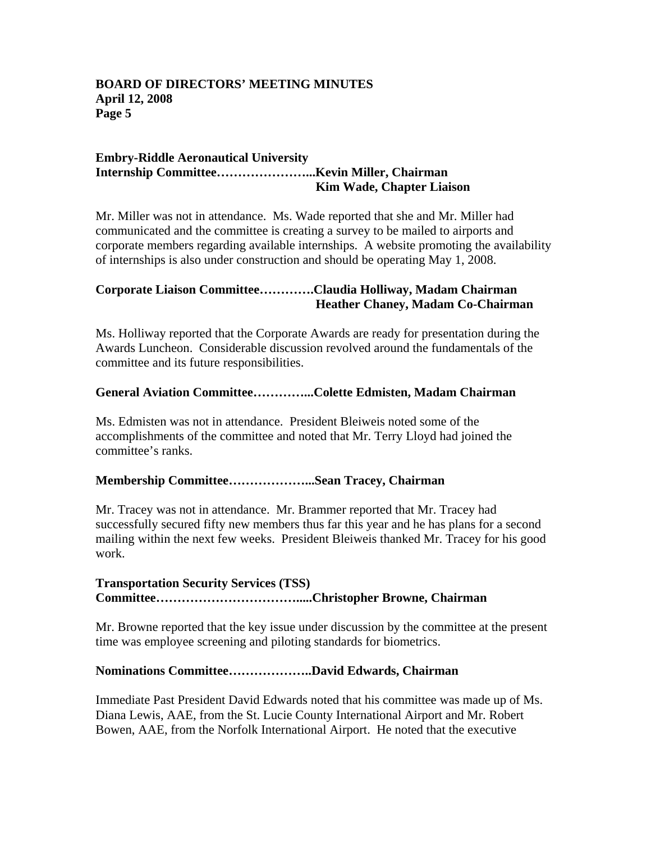### **BOARD OF DIRECTORS' MEETING MINUTES April 12, 2008 Page 5**

#### **Embry-Riddle Aeronautical University Internship Committee…………………...Kevin Miller, Chairman Kim Wade, Chapter Liaison**

Mr. Miller was not in attendance. Ms. Wade reported that she and Mr. Miller had communicated and the committee is creating a survey to be mailed to airports and corporate members regarding available internships. A website promoting the availability of internships is also under construction and should be operating May 1, 2008.

## **Corporate Liaison Committee………….Claudia Holliway, Madam Chairman Heather Chaney, Madam Co-Chairman**

Ms. Holliway reported that the Corporate Awards are ready for presentation during the Awards Luncheon. Considerable discussion revolved around the fundamentals of the committee and its future responsibilities.

#### **General Aviation Committee…………...Colette Edmisten, Madam Chairman**

Ms. Edmisten was not in attendance. President Bleiweis noted some of the accomplishments of the committee and noted that Mr. Terry Lloyd had joined the committee's ranks.

#### **Membership Committee………………...Sean Tracey, Chairman**

Mr. Tracey was not in attendance. Mr. Brammer reported that Mr. Tracey had successfully secured fifty new members thus far this year and he has plans for a second mailing within the next few weeks. President Bleiweis thanked Mr. Tracey for his good work.

## **Transportation Security Services (TSS) Committee…………………………….....Christopher Browne, Chairman**

Mr. Browne reported that the key issue under discussion by the committee at the present time was employee screening and piloting standards for biometrics.

#### **Nominations Committee………………..David Edwards, Chairman**

Immediate Past President David Edwards noted that his committee was made up of Ms. Diana Lewis, AAE, from the St. Lucie County International Airport and Mr. Robert Bowen, AAE, from the Norfolk International Airport. He noted that the executive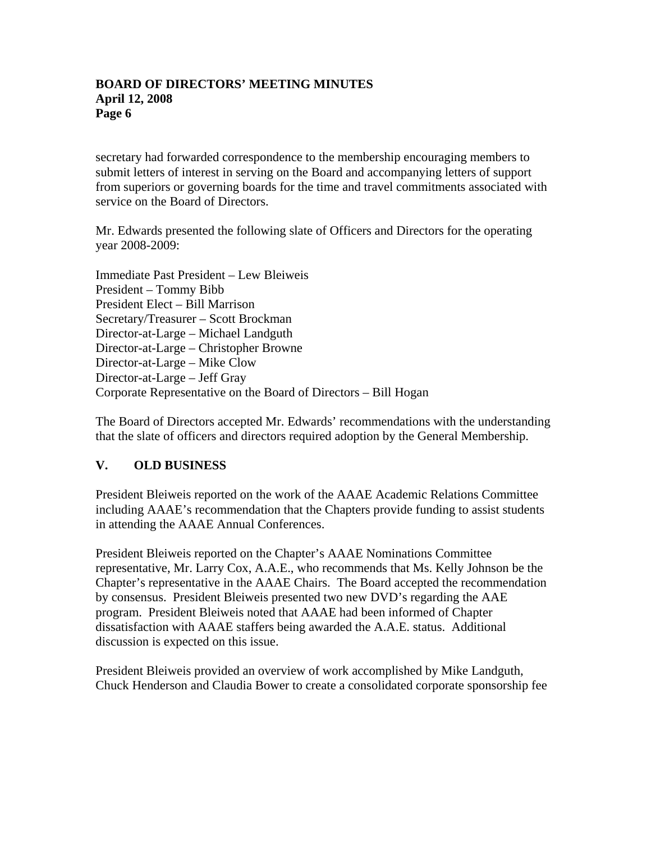### **BOARD OF DIRECTORS' MEETING MINUTES April 12, 2008 Page 6**

secretary had forwarded correspondence to the membership encouraging members to submit letters of interest in serving on the Board and accompanying letters of support from superiors or governing boards for the time and travel commitments associated with service on the Board of Directors.

Mr. Edwards presented the following slate of Officers and Directors for the operating year 2008-2009:

Immediate Past President – Lew Bleiweis President – Tommy Bibb President Elect – Bill Marrison Secretary/Treasurer – Scott Brockman Director-at-Large – Michael Landguth Director-at-Large – Christopher Browne Director-at-Large – Mike Clow Director-at-Large – Jeff Gray Corporate Representative on the Board of Directors – Bill Hogan

The Board of Directors accepted Mr. Edwards' recommendations with the understanding that the slate of officers and directors required adoption by the General Membership.

## **V. OLD BUSINESS**

President Bleiweis reported on the work of the AAAE Academic Relations Committee including AAAE's recommendation that the Chapters provide funding to assist students in attending the AAAE Annual Conferences.

President Bleiweis reported on the Chapter's AAAE Nominations Committee representative, Mr. Larry Cox, A.A.E., who recommends that Ms. Kelly Johnson be the Chapter's representative in the AAAE Chairs. The Board accepted the recommendation by consensus. President Bleiweis presented two new DVD's regarding the AAE program. President Bleiweis noted that AAAE had been informed of Chapter dissatisfaction with AAAE staffers being awarded the A.A.E. status. Additional discussion is expected on this issue.

President Bleiweis provided an overview of work accomplished by Mike Landguth, Chuck Henderson and Claudia Bower to create a consolidated corporate sponsorship fee